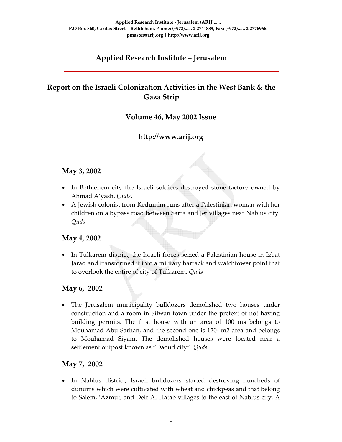# **Applied Research Institute – Jerusalem**

# **Report on the Israeli Colonization Activities in the West Bank & the Gaza Strip**

## **Volume 46, May 2002 Issue**

# **http://www.arij.org**

#### **May 3, 2002**

- In Bethlehem city the Israeli soldiers destroyed stone factory owned by Ahmad A'yash. *Quds*.
- A Jewish colonist from Kedumim runs after a Palestinian woman with her children on a bypass road between Sarra and Jet villages near Nablus city. *Quds*

## **May 4, 2002**

• In Tulkarem district, the Israeli forces seized a Palestinian house in Izbat Jarad and transformed it into a military barrack and watchtower point that to overlook the entire of city of Tulkarem. *Quds*

#### **May 6, 2002**

• The Jerusalem municipality bulldozers demolished two houses under construction and a room in Silwan town under the pretext of not having building permits. The first house with an area of 100 ms belongs to Mouhamad Abu Sarhan, and the second one is 120‐ m2 area and belongs to Mouhamad Siyam. The demolished houses were located near a settlement outpost known as "Daoud city". *Quds*

## **May 7, 2002**

• In Nablus district, Israeli bulldozers started destroying hundreds of dunums which were cultivated with wheat and chickpeas and that belong to Salem, 'Azmut, and Deir Al Hatab villages to the east of Nablus city. A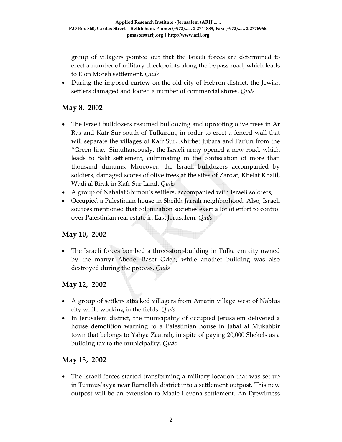group of villagers pointed out that the Israeli forces are determined to erect a number of military checkpoints along the bypass road, which leads to Elon Moreh settlement. *Quds*

• During the imposed curfew on the old city of Hebron district, the Jewish settlers damaged and looted a number of commercial stores. *Quds*

# **May 8, 2002**

- The Israeli bulldozers resumed bulldozing and uprooting olive trees in Ar Ras and Kafr Sur south of Tulkarem, in order to erect a fenced wall that will separate the villages of Kafr Sur, Khirbet Jubara and Far'un from the "Green line. Simultaneously, the Israeli army opened a new road, which leads to Salit settlement, culminating in the confiscation of more than thousand dunums. Moreover, the Israeli bulldozers accompanied by soldiers, damaged scores of olive trees at the sites of Zardat, Khelat Khalil, Wadi al Birak in Kafr Sur Land. *Quds*
- A group of Nahalat Shimon's settlers, accompanied with Israeli soldiers,
- Occupied a Palestinian house in Sheikh Jarrah neighborhood. Also, Israeli sources mentioned that colonization societies exert a lot of effort to control over Palestinian real estate in East Jerusalem. *Quds.*

## **May 10, 2002**

• The Israeli forces bombed a three-store-building in Tulkarem city owned by the martyr Abedel Baset Odeh, while another building was also destroyed during the process. *Quds*

## **May 12, 2002**

- A group of settlers attacked villagers from Amatin village west of Nablus city while working in the fields. *Quds*
- In Jerusalem district, the municipality of occupied Jerusalem delivered a house demolition warning to a Palestinian house in Jabal al Mukabbir town that belongs to Yahya Zaatrah, in spite of paying 20,000 Shekels as a building tax to the municipality. *Quds*

## **May 13, 2002**

• The Israeli forces started transforming a military location that was set up in Turmus'ayya near Ramallah district into a settlement outpost. This new outpost will be an extension to Maale Levona settlement. An Eyewitness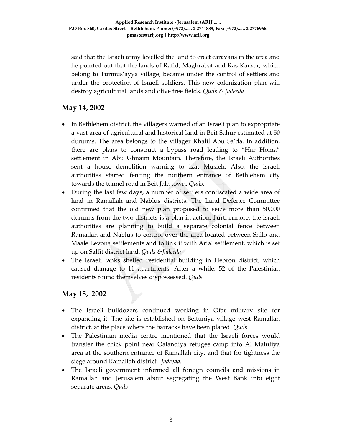said that the Israeli army levelled the land to erect caravans in the area and he pointed out that the lands of Rafid, Maghrabat and Ras Karkar, which belong to Turmus'ayya village, became under the control of settlers and under the protection of Israeli soldiers. This new colonization plan will destroy agricultural lands and olive tree fields. *Quds & Jadeeda*

## **May 14, 2002**

- In Bethlehem district, the villagers warned of an Israeli plan to expropriate a vast area of agricultural and historical land in Beit Sahur estimated at 50 dunums. The area belongs to the villager Khalil Abu Sa'da. In addition, there are plans to construct a bypass road leading to "Har Homa" settlement in Abu Ghnaim Mountain. Therefore, the Israeli Authorities sent a house demolition warning to Izat Musleh. Also, the Israeli authorities started fencing the northern entrance of Bethlehem city towards the tunnel road in Beit Jala town. *Quds.*
- During the last few days, a number of settlers confiscated a wide area of land in Ramallah and Nablus districts. The Land Defence Committee confirmed that the old new plan proposed to seize more than 50,000 dunums from the two districts is a plan in action. Furthermore, the Israeli authorities are planning to build a separate colonial fence between Ramallah and Nablus to control over the area located between Shilo and Maale Levona settlements and to link it with Arial settlement, which is set up on Salfit district land. *Quds &Jadeeda*
- The Israeli tanks shelled residential building in Hebron district, which caused damage to 11 apartments. After a while, 52 of the Palestinian residents found themselves dispossessed. *Quds*

## **May 15, 2002**

- The Israeli bulldozers continued working in Ofar military site for expanding it. The site is established on Beituniya village west Ramallah district, at the place where the barracks have been placed. *Quds*
- The Palestinian media centre mentioned that the Israeli forces would transfer the chick point near Qalandiya refugee camp into Al Malufiya area at the southern entrance of Ramallah city, and that for tightness the siege around Ramallah district. *Jadeeda.*
- The Israeli government informed all foreign councils and missions in Ramallah and Jerusalem about segregating the West Bank into eight separate areas. *Quds*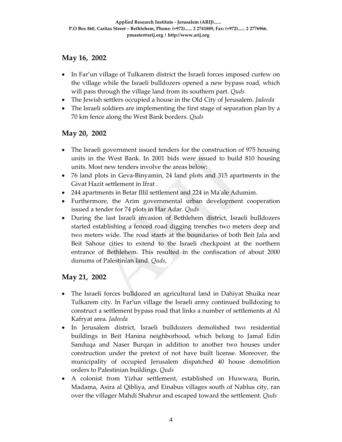## **May 16, 2002**

- In Far'un village of Tulkarem district the Israeli forces imposed curfew on the village while the Israeli bulldozers opened a new bypass road, which will pass through the village land from its southern part. *Quds*
- The Jewish settlers occupied a house in the Old City of Jerusalem. *Jadeeda*
- The Israeli soldiers are implementing the first stage of separation plan by a 70 km fence along the West Bank borders. *Quds*

## **May 20, 2002**

- The Israeli government issued tenders for the construction of 975 housing units in the West Bank. In 2001 bids were issued to build 810 housing units. Most new tenders involve the areas below:
- 76 land plots in Geva-Binyamin, 24 land plots and 315 apartments in the Givat Hazit settlement in Ifrat .
- 244 apartments in Betar Illil settlement and 224 in Maʹale Adumim.
- Furthermore, the Arim governmental urban development cooperation issued a tender for 74 plots in Har Adar. *Quds*
- During the last Israeli invasion of Bethlehem district, Israeli bulldozers started establishing a fenced road digging trenches two meters deep and two meters wide. The road starts at the boundaries of both Beit Jala and Beit Sahour cities to extend to the Israeli checkpoint at the northern entrance of Bethlehem. This resulted in the confiscation of about 2000 dunums of Palestinian land. *Quds*,

# **May 21, 2002**

- The Israeli forces bulldozed an agricultural land in Dahiyat Shuika near Tulkarem city. In Far'un village the Israeli army continued bulldozing to construct a settlement bypass road that links a number of settlements at Al Kafryat area. *Jadeeda*
- In Jerusalem district, Israeli bulldozers demolished two residential buildings in Beit Hanina neighborhood, which belong to Jamal Edin Sanduqa and Naser Burqan in addition to another two houses under construction under the pretext of not have built license. Moreover, the municipality of occupied Jerusalem dispatched 40 house demolition orders to Palestinian buildings. *Quds*
- A colonist from Yizhar settlement, established on Huwwara, Burin, Madama, Asira al Qibliya, and Einabus villages south of Nablus city, ran over the villager Mahdi Shahrur and escaped toward the settlement. *Quds*